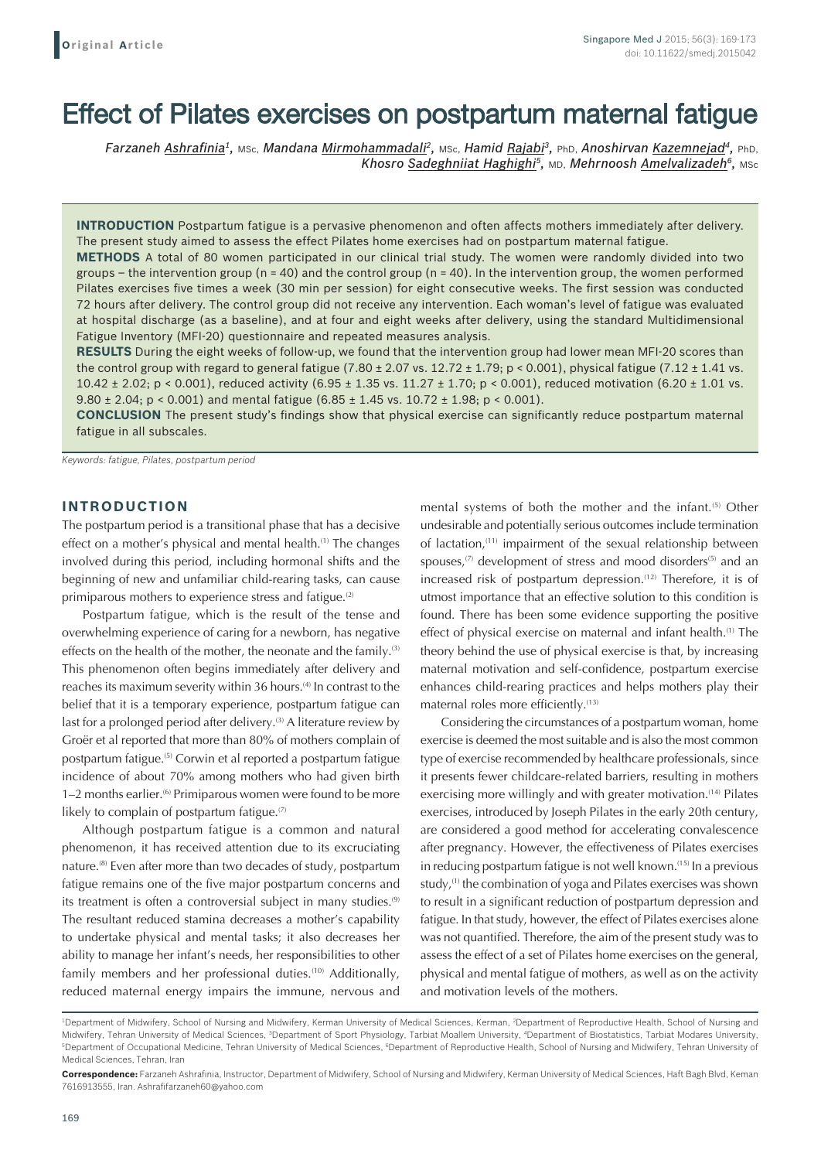# Effect of Pilates exercises on postpartum maternal fatigue

*Farzaneh Ashrafinia1,* MSc, *Mandana Mirmohammadali2,* MSc, *Hamid Rajabi3,* PhD, *Anoshirvan Kazemnejad4,* PhD, *Khosro Sadeghniiat Haghighi5,* MD, *Mehrnoosh Amelvalizadeh6,* MSc

**INTRODUCTION** Postpartum fatigue is a pervasive phenomenon and often affects mothers immediately after delivery. The present study aimed to assess the effect Pilates home exercises had on postpartum maternal fatigue.

**METHODS** A total of 80 women participated in our clinical trial study. The women were randomly divided into two groups – the intervention group ( $n = 40$ ) and the control group ( $n = 40$ ). In the intervention group, the women performed Pilates exercises five times a week (30 min per session) for eight consecutive weeks. The first session was conducted 72 hours after delivery. The control group did not receive any intervention. Each woman's level of fatigue was evaluated at hospital discharge (as a baseline), and at four and eight weeks after delivery, using the standard Multidimensional Fatigue Inventory (MFI-20) questionnaire and repeated measures analysis.

**RESULTS** During the eight weeks of follow-up, we found that the intervention group had lower mean MFI-20 scores than the control group with regard to general fatigue (7.80  $\pm$  2.07 vs. 12.72  $\pm$  1.79; p < 0.001), physical fatigue (7.12  $\pm$  1.41 vs. 10.42  $\pm$  2.02; p < 0.001), reduced activity (6.95  $\pm$  1.35 vs. 11.27  $\pm$  1.70; p < 0.001), reduced motivation (6.20  $\pm$  1.01 vs. 9.80  $\pm$  2.04; p < 0.001) and mental fatigue (6.85  $\pm$  1.45 vs. 10.72  $\pm$  1.98; p < 0.001).

**CONCLUSION** The present study's findings show that physical exercise can significantly reduce postpartum maternal fatigue in all subscales.

*Keywords: fatigue, Pilates, postpartum period*

#### **INTRODUCTION**

The postpartum period is a transitional phase that has a decisive effect on a mother's physical and mental health.<sup>(1)</sup> The changes involved during this period, including hormonal shifts and the beginning of new and unfamiliar child-rearing tasks, can cause primiparous mothers to experience stress and fatigue.<sup>(2)</sup>

Postpartum fatigue, which is the result of the tense and overwhelming experience of caring for a newborn, has negative effects on the health of the mother, the neonate and the family.<sup>(3)</sup> This phenomenon often begins immediately after delivery and reaches its maximum severity within 36 hours.<sup>(4)</sup> In contrast to the belief that it is a temporary experience, postpartum fatigue can last for a prolonged period after delivery.<sup>(3)</sup> A literature review by Groër et al reported that more than 80% of mothers complain of postpartum fatigue.(5) Corwin et al reported a postpartum fatigue incidence of about 70% among mothers who had given birth 1–2 months earlier.<sup>(6)</sup> Primiparous women were found to be more likely to complain of postpartum fatigue.<sup>(7)</sup>

Although postpartum fatigue is a common and natural phenomenon, it has received attention due to its excruciating nature.(8) Even after more than two decades of study, postpartum fatigue remains one of the five major postpartum concerns and its treatment is often a controversial subject in many studies.<sup>(9)</sup> The resultant reduced stamina decreases a mother's capability to undertake physical and mental tasks; it also decreases her ability to manage her infant's needs, her responsibilities to other family members and her professional duties.<sup>(10)</sup> Additionally, reduced maternal energy impairs the immune, nervous and mental systems of both the mother and the infant.<sup>(5)</sup> Other undesirable and potentially serious outcomes include termination of lactation,<sup>(11)</sup> impairment of the sexual relationship between spouses, $(7)$  development of stress and mood disorders $(5)$  and an increased risk of postpartum depression.<sup>(12)</sup> Therefore, it is of utmost importance that an effective solution to this condition is found. There has been some evidence supporting the positive effect of physical exercise on maternal and infant health.(1) The theory behind the use of physical exercise is that, by increasing maternal motivation and self-confidence, postpartum exercise enhances child-rearing practices and helps mothers play their maternal roles more efficiently.<sup>(13)</sup>

Considering the circumstances of a postpartum woman, home exercise is deemed the most suitable and is also the most common type of exercise recommended by healthcare professionals, since it presents fewer childcare-related barriers, resulting in mothers exercising more willingly and with greater motivation.<sup>(14)</sup> Pilates exercises, introduced by Joseph Pilates in the early 20th century, are considered a good method for accelerating convalescence after pregnancy. However, the effectiveness of Pilates exercises in reducing postpartum fatigue is not well known.(15) In a previous study,<sup>(1)</sup> the combination of yoga and Pilates exercises was shown to result in a significant reduction of postpartum depression and fatigue. In that study, however, the effect of Pilates exercises alone was not quantified. Therefore, the aim of the present study was to assess the effect of a set of Pilates home exercises on the general, physical and mental fatigue of mothers, as well as on the activity and motivation levels of the mothers.

<sup>&</sup>lt;sup>1</sup>Department of Midwifery, School of Nursing and Midwifery, Kerman University of Medical Sciences, Kerman, <sup>2</sup>Department of Reproductive Health, School of Nursing and Midwifery, Tehran University of Medical Sciences, <sup>a</sup>Department of Sport Physiology, Tarbiat Moallem University, <sup>4</sup>Department of Biostatistics, Tarbiat Modares University, <sup>5</sup>Department of Occupational Medicine, Tehran University of Medical Sciences, <sup>6</sup>Department of Reproductive Health, School of Nursing and Midwifery, Tehran University of Medical Sciences, Tehran, Iran

**Correspondence:** Farzaneh Ashrafinia, Instructor, Department of Midwifery, School of Nursing and Midwifery, Kerman University of Medical Sciences, Haft Bagh Blvd, Keman 7616913555, Iran. Ashrafifarzaneh60@yahoo.com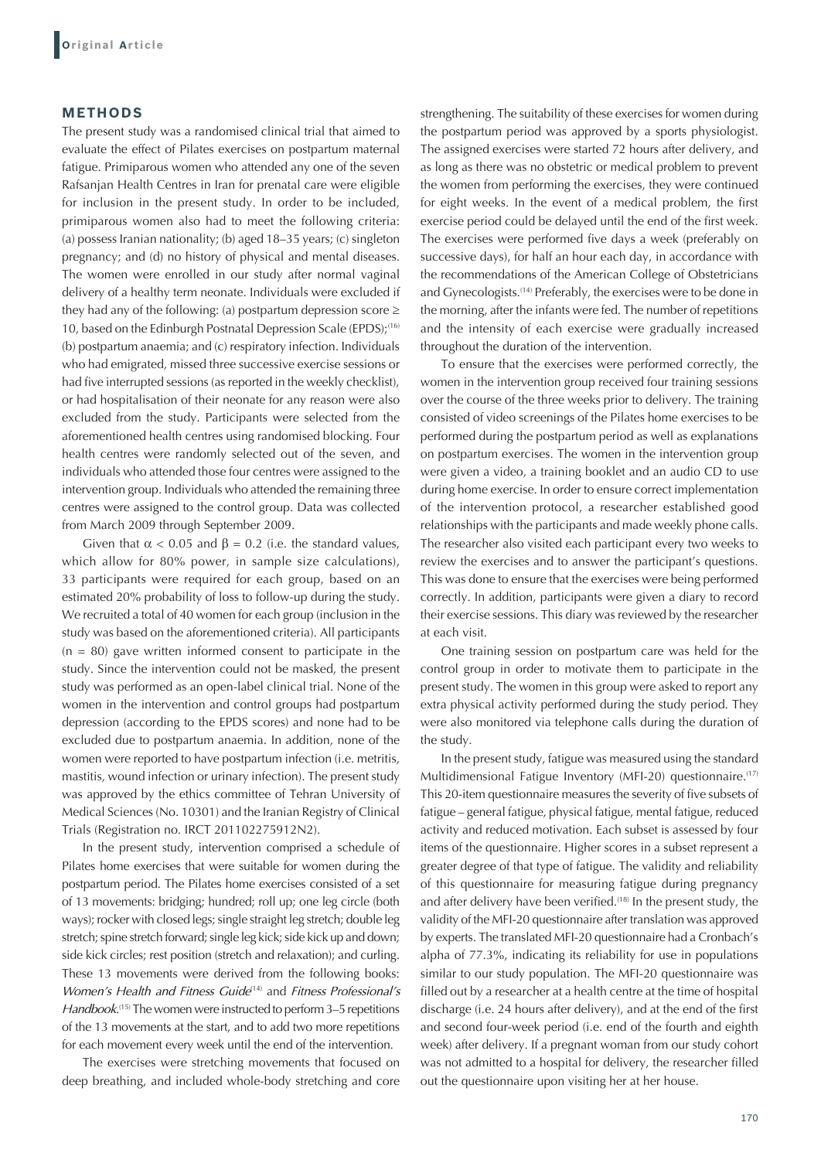### **METHODS**

The present study was a randomised clinical trial that aimed to evaluate the effect of Pilates exercises on postpartum maternal fatigue. Primiparous women who attended any one of the seven Rafsanjan Health Centres in Iran for prenatal care were eligible for inclusion in the present study. In order to be included, primiparous women also had to meet the following criteria: (a) possess Iranian nationality; (b) aged 18–35 years; (c) singleton pregnancy; and (d) no history of physical and mental diseases. The women were enrolled in our study after normal vaginal delivery of a healthy term neonate. Individuals were excluded if they had any of the following: (a) postpartum depression score  $\geq$ 10, based on the Edinburgh Postnatal Depression Scale (EPDS);<sup>(16)</sup> (b) postpartum anaemia; and (c) respiratory infection. Individuals who had emigrated, missed three successive exercise sessions or had five interrupted sessions (as reported in the weekly checklist), or had hospitalisation of their neonate for any reason were also excluded from the study. Participants were selected from the aforementioned health centres using randomised blocking. Four health centres were randomly selected out of the seven, and individuals who attended those four centres were assigned to the intervention group. Individuals who attended the remaining three centres were assigned to the control group. Data was collected from March 2009 through September 2009.

Given that  $\alpha$  < 0.05 and  $\beta$  = 0.2 (i.e. the standard values, which allow for 80% power, in sample size calculations), 33 participants were required for each group, based on an estimated 20% probability of loss to follow-up during the study. We recruited a total of 40 women for each group (inclusion in the study was based on the aforementioned criteria). All participants  $(n = 80)$  gave written informed consent to participate in the study. Since the intervention could not be masked, the present study was performed as an open-label clinical trial. None of the women in the intervention and control groups had postpartum depression (according to the EPDS scores) and none had to be excluded due to postpartum anaemia. In addition, none of the women were reported to have postpartum infection (i.e. metritis, mastitis, wound infection or urinary infection). The present study was approved by the ethics committee of Tehran University of Medical Sciences (No. 10301) and the Iranian Registry of Clinical Trials (Registration no. IRCT 201102275912N2).

In the present study, intervention comprised a schedule of Pilates home exercises that were suitable for women during the postpartum period. The Pilates home exercises consisted of a set of 13 movements: bridging; hundred; roll up; one leg circle (both ways); rocker with closed legs; single straight leg stretch; double leg stretch; spine stretch forward; single leg kick; side kick up and down; side kick circles; rest position (stretch and relaxation); and curling. These 13 movements were derived from the following books: *Women's Health and Fitness Guide<sup>(14)</sup> and <i>Fitness Professional's* Handbook.<sup>(15)</sup> The women were instructed to perform 3–5 repetitions of the 13 movements at the start, and to add two more repetitions for each movement every week until the end of the intervention.

The exercises were stretching movements that focused on deep breathing, and included whole-body stretching and core

strengthening. The suitability of these exercises for women during the postpartum period was approved by a sports physiologist. The assigned exercises were started 72 hours after delivery, and as long as there was no obstetric or medical problem to prevent the women from performing the exercises, they were continued for eight weeks. In the event of a medical problem, the first exercise period could be delayed until the end of the first week. The exercises were performed five days a week (preferably on successive days), for half an hour each day, in accordance with the recommendations of the American College of Obstetricians and Gynecologists.<sup>(14)</sup> Preferably, the exercises were to be done in the morning, after the infants were fed. The number of repetitions and the intensity of each exercise were gradually increased throughout the duration of the intervention.

To ensure that the exercises were performed correctly, the women in the intervention group received four training sessions over the course of the three weeks prior to delivery. The training consisted of video screenings of the Pilates home exercises to be performed during the postpartum period as well as explanations on postpartum exercises. The women in the intervention group were given a video, a training booklet and an audio CD to use during home exercise. In order to ensure correct implementation of the intervention protocol, a researcher established good relationships with the participants and made weekly phone calls. The researcher also visited each participant every two weeks to review the exercises and to answer the participant's questions. This was done to ensure that the exercises were being performed correctly. In addition, participants were given a diary to record their exercise sessions. This diary was reviewed by the researcher at each visit.

One training session on postpartum care was held for the control group in order to motivate them to participate in the present study. The women in this group were asked to report any extra physical activity performed during the study period. They were also monitored via telephone calls during the duration of the study.

In the present study, fatigue was measured using the standard Multidimensional Fatigue Inventory (MFI-20) questionnaire.<sup>(17)</sup> This 20-item questionnaire measures the severity of five subsets of fatigue – general fatigue, physical fatigue, mental fatigue, reduced activity and reduced motivation. Each subset is assessed by four items of the questionnaire. Higher scores in a subset represent a greater degree of that type of fatigue. The validity and reliability of this questionnaire for measuring fatigue during pregnancy and after delivery have been verified.<sup>(18)</sup> In the present study, the validity of the MFI-20 questionnaire after translation was approved by experts. The translated MFI-20 questionnaire had a Cronbach's alpha of 77.3%, indicating its reliability for use in populations similar to our study population. The MFI-20 questionnaire was filled out by a researcher at a health centre at the time of hospital discharge (i.e. 24 hours after delivery), and at the end of the first and second four-week period (i.e. end of the fourth and eighth week) after delivery. If a pregnant woman from our study cohort was not admitted to a hospital for delivery, the researcher filled out the questionnaire upon visiting her at her house.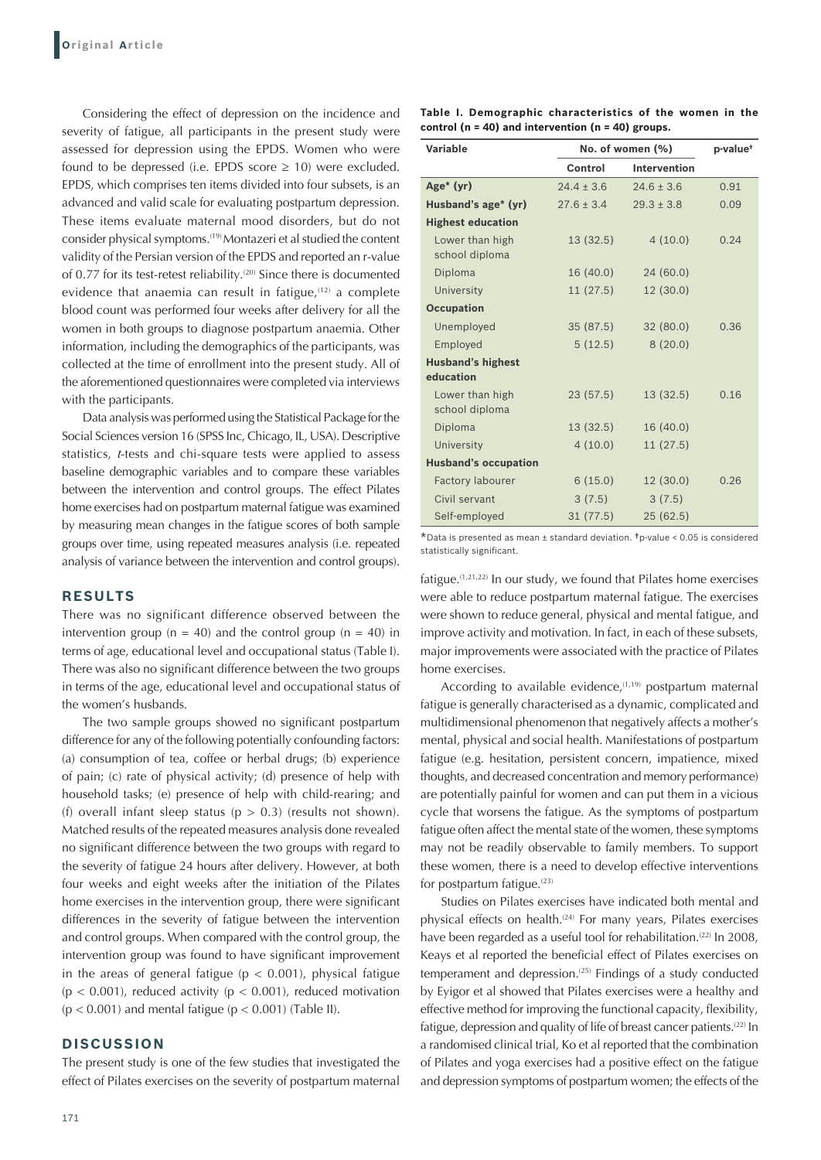Considering the effect of depression on the incidence and severity of fatigue, all participants in the present study were assessed for depression using the EPDS. Women who were found to be depressed (i.e. EPDS score  $\geq$  10) were excluded. EPDS, which comprises ten items divided into four subsets, is an advanced and valid scale for evaluating postpartum depression. These items evaluate maternal mood disorders, but do not consider physical symptoms.(19) Montazeri et al studied the content validity of the Persian version of the EPDS and reported an r-value of 0.77 for its test-retest reliability.<sup>(20)</sup> Since there is documented evidence that anaemia can result in fatigue, $(12)$  a complete blood count was performed four weeks after delivery for all the women in both groups to diagnose postpartum anaemia. Other information, including the demographics of the participants, was collected at the time of enrollment into the present study. All of the aforementioned questionnaires were completed via interviews with the participants.

Data analysis was performed using the Statistical Package for the Social Sciences version 16 (SPSS Inc, Chicago, IL, USA). Descriptive statistics, *t*-tests and chi-square tests were applied to assess baseline demographic variables and to compare these variables between the intervention and control groups. The effect Pilates home exercises had on postpartum maternal fatigue was examined by measuring mean changes in the fatigue scores of both sample groups over time, using repeated measures analysis (i.e. repeated analysis of variance between the intervention and control groups).

### **RESULTS**

There was no significant difference observed between the intervention group ( $n = 40$ ) and the control group ( $n = 40$ ) in terms of age, educational level and occupational status (Table I). There was also no significant difference between the two groups in terms of the age, educational level and occupational status of the women's husbands.

The two sample groups showed no significant postpartum difference for any of the following potentially confounding factors: (a) consumption of tea, coffee or herbal drugs; (b) experience of pain; (c) rate of physical activity; (d) presence of help with household tasks; (e) presence of help with child-rearing; and (f) overall infant sleep status ( $p > 0.3$ ) (results not shown). Matched results of the repeated measures analysis done revealed no significant difference between the two groups with regard to the severity of fatigue 24 hours after delivery. However, at both four weeks and eight weeks after the initiation of the Pilates home exercises in the intervention group, there were significant differences in the severity of fatigue between the intervention and control groups. When compared with the control group, the intervention group was found to have significant improvement in the areas of general fatigue ( $p < 0.001$ ), physical fatigue  $(p < 0.001)$ , reduced activity  $(p < 0.001)$ , reduced motivation  $(p < 0.001)$  and mental fatigue  $(p < 0.001)$  (Table II).

#### **DISCUSSION**

The present study is one of the few studies that investigated the effect of Pilates exercises on the severity of postpartum maternal

**Table I. Demographic characteristics of the women in the control (n = 40) and intervention (n = 40) groups.**

| <b>Variable</b>                       | No. of women (%) | p-value <sup>+</sup> |      |
|---------------------------------------|------------------|----------------------|------|
|                                       | Control          | <b>Intervention</b>  |      |
| Age <sup><math>*</math></sup> (yr)    | $24.4 \pm 3.6$   | $24.6 \pm 3.6$       | 0.91 |
| Husband's age* (yr)                   | $27.6 \pm 3.4$   | $29.3 \pm 3.8$       | 0.09 |
| <b>Highest education</b>              |                  |                      |      |
| Lower than high<br>school diploma     | 13(32.5)         | 4(10.0)              | 0.24 |
| Diploma                               | 16(40.0)         | 24(60.0)             |      |
| University                            | 11(27.5)         | 12 (30.0)            |      |
| <b>Occupation</b>                     |                  |                      |      |
| Unemployed                            | 35(87.5)         | 32(80.0)             | 0.36 |
| Employed                              | 5(12.5)          | 8(20.0)              |      |
| <b>Husband's highest</b><br>education |                  |                      |      |
| Lower than high<br>school diploma     | 23(57.5)         | 13 (32.5)            | 0.16 |
| Diploma                               | 13(32.5)         | 16 (40.0)            |      |
| University                            | 4(10.0)          | 11 (27.5)            |      |
| <b>Husband's occupation</b>           |                  |                      |      |
| Factory labourer                      | 6(15.0)          | 12 (30.0)            | 0.26 |
| Civil servant                         | 3(7.5)           | 3(7.5)               |      |
| Self-employed                         | 31(77.5)         | 25(62.5)             |      |

\*Data is presented as mean <sup>±</sup> standard deviation. †p-value < 0.05 is considered statistically significant.

fatigue.(1,21,22) In our study, we found that Pilates home exercises were able to reduce postpartum maternal fatigue. The exercises were shown to reduce general, physical and mental fatigue, and improve activity and motivation. In fact, in each of these subsets, major improvements were associated with the practice of Pilates home exercises.

According to available evidence, $(1,19)$  postpartum maternal fatigue is generally characterised as a dynamic, complicated and multidimensional phenomenon that negatively affects a mother's mental, physical and social health. Manifestations of postpartum fatigue (e.g. hesitation, persistent concern, impatience, mixed thoughts, and decreased concentration and memory performance) are potentially painful for women and can put them in a vicious cycle that worsens the fatigue. As the symptoms of postpartum fatigue often affect the mental state of the women, these symptoms may not be readily observable to family members. To support these women, there is a need to develop effective interventions for postpartum fatigue.<sup>(23)</sup>

Studies on Pilates exercises have indicated both mental and physical effects on health.<sup>(24)</sup> For many years, Pilates exercises have been regarded as a useful tool for rehabilitation.<sup>(22)</sup> In 2008, Keays et al reported the beneficial effect of Pilates exercises on temperament and depression.<sup> $(25)$ </sup> Findings of a study conducted by Eyigor et al showed that Pilates exercises were a healthy and effective method for improving the functional capacity, flexibility, fatigue, depression and quality of life of breast cancer patients.<sup>(22)</sup> In a randomised clinical trial, Ko et al reported that the combination of Pilates and yoga exercises had a positive effect on the fatigue and depression symptoms of postpartum women; the effects of the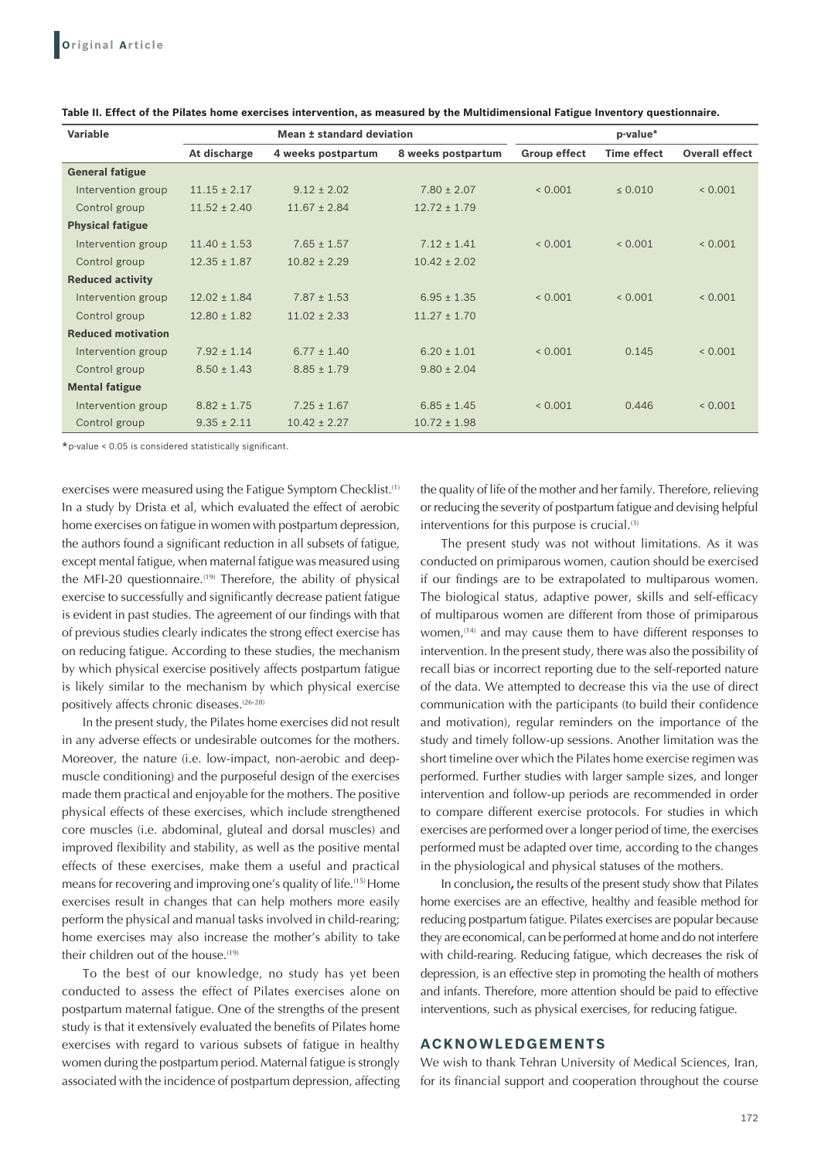| Variable                  | Mean ± standard deviation |                    | p-value*           |                     |                    |                       |
|---------------------------|---------------------------|--------------------|--------------------|---------------------|--------------------|-----------------------|
|                           | At discharge              | 4 weeks postpartum | 8 weeks postpartum | <b>Group effect</b> | <b>Time effect</b> | <b>Overall effect</b> |
| <b>General fatigue</b>    |                           |                    |                    |                     |                    |                       |
| Intervention group        | $11.15 \pm 2.17$          | $9.12 \pm 2.02$    | $7.80 \pm 2.07$    | < 0.001             | $\leq 0.010$       | 0.001                 |
| Control group             | $11.52 \pm 2.40$          | $11.67 \pm 2.84$   | $12.72 \pm 1.79$   |                     |                    |                       |
| <b>Physical fatigue</b>   |                           |                    |                    |                     |                    |                       |
| Intervention group        | $11.40 \pm 1.53$          | $7.65 \pm 1.57$    | $7.12 \pm 1.41$    | 0.001               | 0.001              | 0.001                 |
| Control group             | $12.35 \pm 1.87$          | $10.82 \pm 2.29$   | $10.42 \pm 2.02$   |                     |                    |                       |
| <b>Reduced activity</b>   |                           |                    |                    |                     |                    |                       |
| Intervention group        | $12.02 \pm 1.84$          | $7.87 \pm 1.53$    | $6.95 \pm 1.35$    | < 0.001             | < 0.001            | 0.001                 |
| Control group             | $12.80 \pm 1.82$          | $11.02 \pm 2.33$   | $11.27 \pm 1.70$   |                     |                    |                       |
| <b>Reduced motivation</b> |                           |                    |                    |                     |                    |                       |
| Intervention group        | $7.92 \pm 1.14$           | $6.77 \pm 1.40$    | $6.20 \pm 1.01$    | 0.001               | 0.145              | 0.001                 |
| Control group             | $8.50 \pm 1.43$           | $8.85 \pm 1.79$    | $9.80 \pm 2.04$    |                     |                    |                       |
| <b>Mental fatigue</b>     |                           |                    |                    |                     |                    |                       |
| Intervention group        | $8.82 \pm 1.75$           | $7.25 \pm 1.67$    | $6.85 \pm 1.45$    | 0.001               | 0.446              | 0.001                 |
| Control group             | $9.35 \pm 2.11$           | $10.42 \pm 2.27$   | $10.72 \pm 1.98$   |                     |                    |                       |

**Table II. Effect of the Pilates home exercises intervention, as measured by the Multidimensional Fatigue Inventory questionnaire.**

\*p-value < 0.05 is considered statistically significant.

exercises were measured using the Fatigue Symptom Checklist.<sup>(1)</sup> In a study by Drista et al, which evaluated the effect of aerobic home exercises on fatigue in women with postpartum depression, the authors found a significant reduction in all subsets of fatigue, except mental fatigue, when maternal fatigue was measured using the MFI-20 questionnaire.<sup>(19)</sup> Therefore, the ability of physical exercise to successfully and significantly decrease patient fatigue is evident in past studies. The agreement of our findings with that of previous studies clearly indicates the strong effect exercise has on reducing fatigue. According to these studies, the mechanism by which physical exercise positively affects postpartum fatigue is likely similar to the mechanism by which physical exercise positively affects chronic diseases.<sup>(26-28)</sup>

In the present study, the Pilates home exercises did not result in any adverse effects or undesirable outcomes for the mothers. Moreover, the nature (i.e. low-impact, non-aerobic and deepmuscle conditioning) and the purposeful design of the exercises made them practical and enjoyable for the mothers. The positive physical effects of these exercises, which include strengthened core muscles (i.e. abdominal, gluteal and dorsal muscles) and improved flexibility and stability, as well as the positive mental effects of these exercises, make them a useful and practical means for recovering and improving one's quality of life.(15) Home exercises result in changes that can help mothers more easily perform the physical and manual tasks involved in child-rearing; home exercises may also increase the mother's ability to take their children out of the house.<sup>(19)</sup>

To the best of our knowledge, no study has yet been conducted to assess the effect of Pilates exercises alone on postpartum maternal fatigue. One of the strengths of the present study is that it extensively evaluated the benefits of Pilates home exercises with regard to various subsets of fatigue in healthy women during the postpartum period. Maternal fatigue is strongly associated with the incidence of postpartum depression, affecting the quality of life of the mother and her family. Therefore, relieving or reducing the severity of postpartum fatigue and devising helpful interventions for this purpose is crucial.<sup>(3)</sup>

The present study was not without limitations. As it was conducted on primiparous women, caution should be exercised if our findings are to be extrapolated to multiparous women. The biological status, adaptive power, skills and self-efficacy of multiparous women are different from those of primiparous women,<sup>(14)</sup> and may cause them to have different responses to intervention. In the present study, there was also the possibility of recall bias or incorrect reporting due to the self-reported nature of the data. We attempted to decrease this via the use of direct communication with the participants (to build their confidence and motivation), regular reminders on the importance of the study and timely follow-up sessions. Another limitation was the short timeline over which the Pilates home exercise regimen was performed. Further studies with larger sample sizes, and longer intervention and follow-up periods are recommended in order to compare different exercise protocols. For studies in which exercises are performed over a longer period of time, the exercises performed must be adapted over time, according to the changes in the physiological and physical statuses of the mothers.

In conclusion**,** the results of the present study show that Pilates home exercises are an effective, healthy and feasible method for reducing postpartum fatigue. Pilates exercises are popular because they are economical, can be performed at home and do not interfere with child-rearing. Reducing fatigue, which decreases the risk of depression, is an effective step in promoting the health of mothers and infants. Therefore, more attention should be paid to effective interventions, such as physical exercises, for reducing fatigue.

## **ACKNOWLEDGEMENTS**

We wish to thank Tehran University of Medical Sciences, Iran, for its financial support and cooperation throughout the course